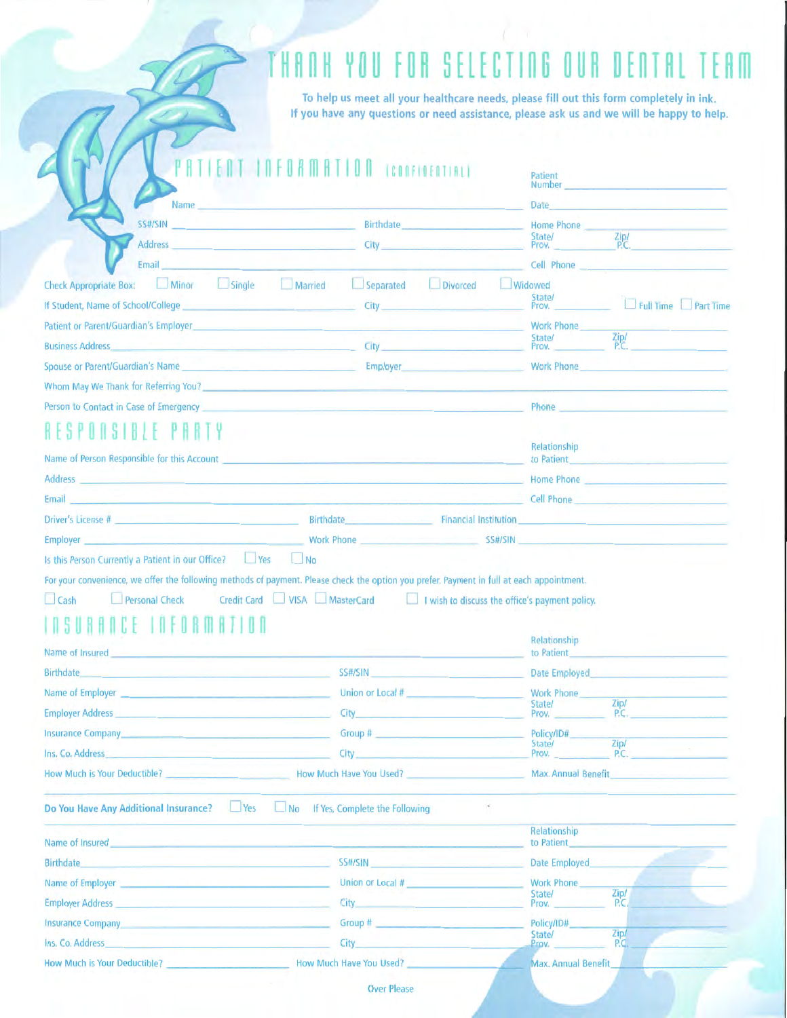# THANK YOU FOR SELECTING OUR DENTAL TEAM

To help us meet all your healthcare needs, please fill out this form completely in ink. If you have any questions or need assistance, please ask us and we will be happy to help.

|                                                                                                                                                                                                                                                                                                                                                                                                                                                                                                                                                                                                                     | <b>ENT INFORMATION (CONFIDENTIAL)</b>                                                                                                                                                                                                                                                                                                            | Patient<br>Number and the contract of the contract of the contract of the contract of the contract of the contract of the                                                                                                      |
|---------------------------------------------------------------------------------------------------------------------------------------------------------------------------------------------------------------------------------------------------------------------------------------------------------------------------------------------------------------------------------------------------------------------------------------------------------------------------------------------------------------------------------------------------------------------------------------------------------------------|--------------------------------------------------------------------------------------------------------------------------------------------------------------------------------------------------------------------------------------------------------------------------------------------------------------------------------------------------|--------------------------------------------------------------------------------------------------------------------------------------------------------------------------------------------------------------------------------|
| Name                                                                                                                                                                                                                                                                                                                                                                                                                                                                                                                                                                                                                |                                                                                                                                                                                                                                                                                                                                                  | Date and the contract of the contract of the contract of the contract of the contract of the contract of the contract of the contract of the contract of the contract of the contract of the contract of the contract of the c |
|                                                                                                                                                                                                                                                                                                                                                                                                                                                                                                                                                                                                                     | SS#/SIN And the contract of the contract of the contract of the contract of the contract of the contract of the contract of the contract of the contract of the contract of the contract of the contract of the contract of th<br><b>Birthdate Experimental Street (Section 2008)</b>                                                            | Home Phone                                                                                                                                                                                                                     |
|                                                                                                                                                                                                                                                                                                                                                                                                                                                                                                                                                                                                                     |                                                                                                                                                                                                                                                                                                                                                  | Zip/<br>P.C.<br>State/<br>State/<br>Prov.                                                                                                                                                                                      |
| Email                                                                                                                                                                                                                                                                                                                                                                                                                                                                                                                                                                                                               |                                                                                                                                                                                                                                                                                                                                                  | Cell Phone                                                                                                                                                                                                                     |
| <b>Check Appropriate Box:</b>                                                                                                                                                                                                                                                                                                                                                                                                                                                                                                                                                                                       | Minor Single Married Separated Divorced                                                                                                                                                                                                                                                                                                          | <b>Widowed</b>                                                                                                                                                                                                                 |
| If Student, Name of School/College                                                                                                                                                                                                                                                                                                                                                                                                                                                                                                                                                                                  |                                                                                                                                                                                                                                                                                                                                                  | State/<br>Full Time Part Time<br>Prov.                                                                                                                                                                                         |
| Patient or Parent/Guardian's Employer                                                                                                                                                                                                                                                                                                                                                                                                                                                                                                                                                                               |                                                                                                                                                                                                                                                                                                                                                  | <b>Work Phone</b>                                                                                                                                                                                                              |
| <b>Business Address Automatic Services and Services Address Automatic Services</b>                                                                                                                                                                                                                                                                                                                                                                                                                                                                                                                                  | City <b>Carlos Community</b>                                                                                                                                                                                                                                                                                                                     | State/ Zip/<br>Prov. P.C.                                                                                                                                                                                                      |
| Spouse or Parent/Guardian's Name <b>contract of the Contract of Australian</b> Spouse or Parent/Guardian's Name                                                                                                                                                                                                                                                                                                                                                                                                                                                                                                     |                                                                                                                                                                                                                                                                                                                                                  | Work Phone <b>Manual Manual Phone</b>                                                                                                                                                                                          |
|                                                                                                                                                                                                                                                                                                                                                                                                                                                                                                                                                                                                                     | Whom May We Thank for Referring You? Note: 1988 and 2008 and 2008 and 2008 and 2008 and 2008 and 2008 and 2008                                                                                                                                                                                                                                   |                                                                                                                                                                                                                                |
|                                                                                                                                                                                                                                                                                                                                                                                                                                                                                                                                                                                                                     | Person to Contact in Case of Emergency <b>Contact Contact Contact Contact Contact Contact Contact Contact Contact Contact Contact Contact Contact Contact Contact Contact Contact Contact Contact Contact Contact Contact Contac</b>                                                                                                             | Phone and the contract of the contract of the contract of the contract of the contract of the contract of the                                                                                                                  |
| RESPONSIBLE                                                                                                                                                                                                                                                                                                                                                                                                                                                                                                                                                                                                         |                                                                                                                                                                                                                                                                                                                                                  |                                                                                                                                                                                                                                |
|                                                                                                                                                                                                                                                                                                                                                                                                                                                                                                                                                                                                                     |                                                                                                                                                                                                                                                                                                                                                  | Relationship                                                                                                                                                                                                                   |
|                                                                                                                                                                                                                                                                                                                                                                                                                                                                                                                                                                                                                     | Name of Person Responsible for this Account entries and the state of the state of the state of the state of the state of the state of the state of the state of the state of the state of the state of the state of the state<br>Address and the contract of the contract of the contract of the contract of the contract of the contract of the | to Patient                                                                                                                                                                                                                     |
| Email and the contract of the contract of the contract of the contract of the contract of the contract of                                                                                                                                                                                                                                                                                                                                                                                                                                                                                                           |                                                                                                                                                                                                                                                                                                                                                  | Home Phone<br><b>Cell Phone Cell Phone</b>                                                                                                                                                                                     |
|                                                                                                                                                                                                                                                                                                                                                                                                                                                                                                                                                                                                                     |                                                                                                                                                                                                                                                                                                                                                  |                                                                                                                                                                                                                                |
|                                                                                                                                                                                                                                                                                                                                                                                                                                                                                                                                                                                                                     |                                                                                                                                                                                                                                                                                                                                                  |                                                                                                                                                                                                                                |
| Personal Check                                                                                                                                                                                                                                                                                                                                                                                                                                                                                                                                                                                                      | Employer <b>Employer Employer Employer Employer Examployer Examployer Examployer EXAMPLE AND </b><br>$\Box$ No<br>For your convenience, we offer the following methods of payment. Please check the option you prefer. Payment in full at each appointment.<br>Credit Card VISA MasterCard I wish to discuss the office's payment policy.        |                                                                                                                                                                                                                                |
| ASURANCE TAFORM                                                                                                                                                                                                                                                                                                                                                                                                                                                                                                                                                                                                     |                                                                                                                                                                                                                                                                                                                                                  |                                                                                                                                                                                                                                |
|                                                                                                                                                                                                                                                                                                                                                                                                                                                                                                                                                                                                                     | the company of the company of the company of the company of the company of the company of the company of the company of the company of the company of the company of the company of the company of the company of the company                                                                                                                    | Relationship<br>to Patient                                                                                                                                                                                                     |
| a state of the company of the company of the                                                                                                                                                                                                                                                                                                                                                                                                                                                                                                                                                                        | SS#/SIN Production of the contract of the contract of the contract of the contract of the contract of the contract of the contract of the contract of the contract of the contract of the contract of the contract of the cont                                                                                                                   | Date Employed <b>Exercise Employed</b>                                                                                                                                                                                         |
|                                                                                                                                                                                                                                                                                                                                                                                                                                                                                                                                                                                                                     | Union or Local #                                                                                                                                                                                                                                                                                                                                 | Work Phone                                                                                                                                                                                                                     |
|                                                                                                                                                                                                                                                                                                                                                                                                                                                                                                                                                                                                                     | City <b>City</b> and the contract of the contract of the contract of the contract of the contract of the contract of the contract of the contract of the contract of the contract of the contract of the contract of the contract o                                                                                                              | Zip/<br>State/<br>P.C.<br>Prov.                                                                                                                                                                                                |
|                                                                                                                                                                                                                                                                                                                                                                                                                                                                                                                                                                                                                     | Group #                                                                                                                                                                                                                                                                                                                                          | Policy/ID#                                                                                                                                                                                                                     |
|                                                                                                                                                                                                                                                                                                                                                                                                                                                                                                                                                                                                                     | City                                                                                                                                                                                                                                                                                                                                             | Zip/<br>State/<br>P.C.<br>Prov.                                                                                                                                                                                                |
|                                                                                                                                                                                                                                                                                                                                                                                                                                                                                                                                                                                                                     |                                                                                                                                                                                                                                                                                                                                                  | Max. Annual Benefit                                                                                                                                                                                                            |
| Ves                                                                                                                                                                                                                                                                                                                                                                                                                                                                                                                                                                                                                 | No If Yes, Complete the Following                                                                                                                                                                                                                                                                                                                |                                                                                                                                                                                                                                |
|                                                                                                                                                                                                                                                                                                                                                                                                                                                                                                                                                                                                                     |                                                                                                                                                                                                                                                                                                                                                  | Relationship<br>to Patient                                                                                                                                                                                                     |
|                                                                                                                                                                                                                                                                                                                                                                                                                                                                                                                                                                                                                     | SS#/SIN                                                                                                                                                                                                                                                                                                                                          | <b>Date Employed</b>                                                                                                                                                                                                           |
| <u> La propinsi Santa Carlo (La propinsi Santa Carlo)</u>                                                                                                                                                                                                                                                                                                                                                                                                                                                                                                                                                           | Union or Local #                                                                                                                                                                                                                                                                                                                                 | <b>Work Phone</b>                                                                                                                                                                                                              |
|                                                                                                                                                                                                                                                                                                                                                                                                                                                                                                                                                                                                                     |                                                                                                                                                                                                                                                                                                                                                  | Zip/<br>State/<br>Prov.<br>P.C.                                                                                                                                                                                                |
| <u> 1989 - John Harry John Harry Harry Harry Harry Harry</u>                                                                                                                                                                                                                                                                                                                                                                                                                                                                                                                                                        | Group # <u>Alexander State State State State State State State State State State State State State State State State State State State State State State State State State State State State State State State State State State</u>                                                                                                             | Policy/ID#                                                                                                                                                                                                                     |
| Is this Person Currently a Patient in our Office?   Yes<br>$\Box$ Cash<br>Name of Insured<br>Birthdate<br>Name of Employer <b>Analysis Explorer Analysis Explorer Analysis Explorer Analysis</b><br><b>Employer Address Employer Address</b><br><b>Insurance Company</b><br>Ins. Co. Address<br>How Much is Your Deductible? Manufacturer Much Have You Used?<br>Do You Have Any Additional Insurance?<br>Name of Insured<br><b>Birthdate</b><br>Name of Employer<br>Employer Address <b>Employer Address</b><br><b>Insurance Company</b><br>Ins. Co. Address<br><u> 1990 - Jan James Barnett, mars eta indonez</u> | City                                                                                                                                                                                                                                                                                                                                             | Zip/<br>State/<br>P.C.<br>Prov.                                                                                                                                                                                                |

 $\overline{\mathcal{A}}$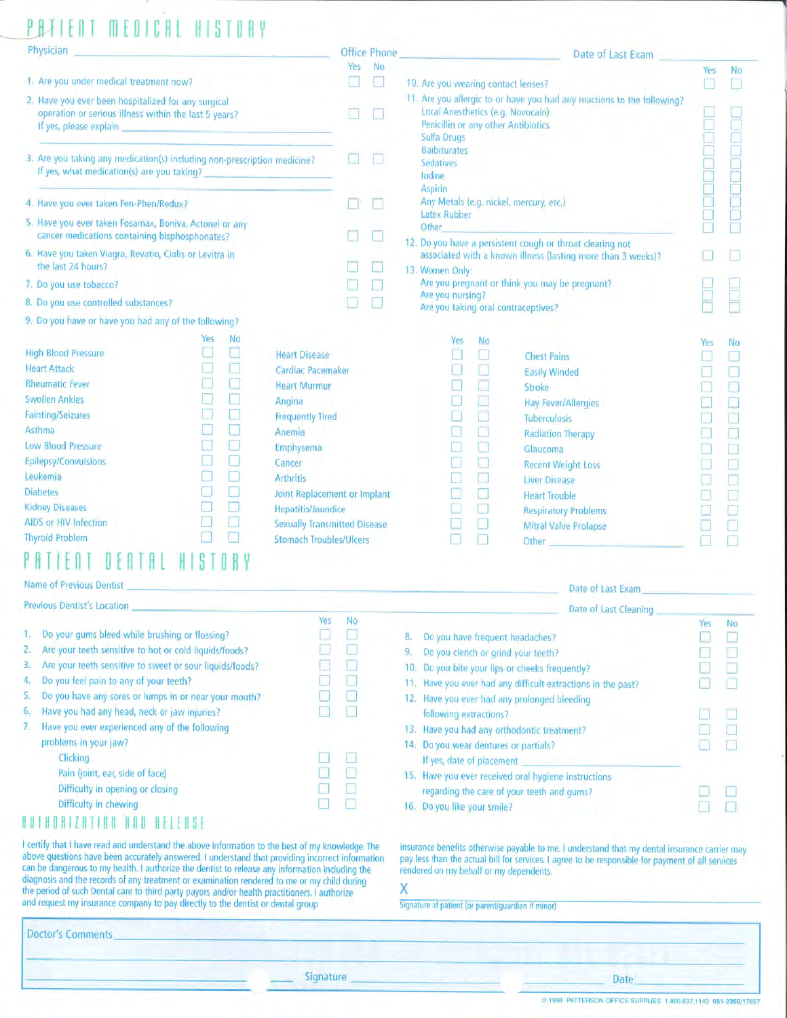# ENT MENICAL HISTORY

| Physician |  |  |  |
|-----------|--|--|--|
|           |  |  |  |
|           |  |  |  |

- 1. Are you under medical treatment now?
- 2. Have you ever been hospitalized for any surgical operation or serious illness within the last 5 years? If yes, please explain

3. Are you taking any medication(s) including non-prescription medicine? If yes, what medication(s) are you taking?

**Heart Disease** Cardiac Pacemaker **Heart Murmur** Angina **Frequently Tired** Anemia Emphysema Cancer **Arthritis** 

**Joint Replacement or Implant** 

**Sexually Transmitted Disease Stomach Troubles/Ulcers** 

Voc

 $N<sub>0</sub>$ 

**Hepatitis/Jaundice** 

4. Have you ever taken Fen-Phen/Redux?

- 5. Have you ever taken Fosamax, Boniva, Actonel or any cancer medications containing bisphosphonates?
- 6. Have you taken Viagra, Revatio, Cialis or Levitra in the last 24 hours?
- 7. Do you use tobacco?
- 8. Do you use controlled substances?
- 9. Do you have or have you had any of the following?

|                              | Yes | No |
|------------------------------|-----|----|
| <b>High Blood Pressure</b>   |     |    |
| <b>Heart Attack</b>          |     |    |
| <b>Rheumatic Fever</b>       |     |    |
| <b>Swollen Ankles</b>        |     |    |
| <b>Fainting/Seizures</b>     |     |    |
| Asthma                       |     | Þ. |
| <b>Low Blood Pressure</b>    |     |    |
| <b>Epilepsy/Convulsions</b>  |     |    |
| Leukemia                     |     |    |
| <b>Diabetes</b>              |     |    |
| <b>Kidney Diseases</b>       |     |    |
| <b>AIDS or HIV Infection</b> |     |    |
| <b>Thyroid Problem</b>       |     |    |
|                              |     |    |

# ATIENT DENTAL HISTORY

| <b>INDITIC OF LIGATORS DEHRS!</b> |                                    |
|-----------------------------------|------------------------------------|
|                                   | <b>Previous Dentist's Location</b> |

| 1. | Do your gums bleed while brushing or flossing?           |    |
|----|----------------------------------------------------------|----|
| 2. | Are your teeth sensitive to hot or cold liquids/foods?   | Þ. |
| 3. | Are your teeth sensitive to sweet or sour liquids/foods? | D  |
| 4. | Do you feel pain to any of your teeth?                   |    |
| 5. | Do you have any sores or lumps in or near your mouth?    |    |
| 6, | Have you had any head, neck or jaw injuries?             |    |
| 7. | Have you ever experienced any of the following           |    |
|    | problems in your jaw?                                    |    |
|    | Clicking                                                 |    |
|    | Pain (joint, ear, side of face)                          |    |
|    | Difficulty in opening or closing                         |    |
|    | Difficulty in chewing                                    |    |
|    |                                                          |    |
|    |                                                          |    |

I certify that I have read and understand the above information to the best of my knowledge. The above questions have been accurately answered. I understand that providing incorrect information can be dangerous to my health. I authorize the dentist to release any information including the diagnosis and the records of any treatment or examination rendered to me or my child during<br>the period of such Dental care to third party payors and/or health practitioners. I authorize and request my insurance company to pay directly to the dentist or dental group

|                                                                                    | Date of Last Exam                                                                                                                                   |     |    |
|------------------------------------------------------------------------------------|-----------------------------------------------------------------------------------------------------------------------------------------------------|-----|----|
|                                                                                    |                                                                                                                                                     | Yes | No |
| 10. Are you wearing contact lenses?                                                |                                                                                                                                                     |     |    |
| Sulfa Drugs<br><b>Barbiturates</b><br><b>Sedatives</b><br>lodine<br><b>Aspirin</b> | 11. Are you allergic to or have you had any reactions to the following?<br>Local Anesthetics (e.g. Novocain)<br>Penicillin or any other Antibiotics |     |    |
| <b>Latex Rubber</b><br>Other                                                       | Any Metals (e.g. nickel, mercury, etc.)                                                                                                             |     |    |
|                                                                                    | 12. Do you have a persistent cough or throat clearing not                                                                                           |     |    |
|                                                                                    | associated with a known illness (lasting more than 3 weeks)?                                                                                        |     |    |
| 13. Women Only:                                                                    |                                                                                                                                                     |     |    |
| Are you nursing?                                                                   | Are you pregnant or think you may be pregnant?                                                                                                      |     |    |
|                                                                                    | Are you taking oral contraceptives?                                                                                                                 |     |    |
| Yes<br>No                                                                          |                                                                                                                                                     | Yes | No |
|                                                                                    | <b>Chest Pains</b>                                                                                                                                  |     |    |
|                                                                                    | <b>Easily Winded</b>                                                                                                                                |     |    |
|                                                                                    | Stroke                                                                                                                                              |     |    |
|                                                                                    | Hay Fever/Allergies                                                                                                                                 |     |    |
|                                                                                    | <b>Tuberculosis</b>                                                                                                                                 |     |    |
|                                                                                    | <b>Radiation Therapy</b>                                                                                                                            |     |    |
|                                                                                    | Glaucoma                                                                                                                                            |     |    |
|                                                                                    | <b>Recent Weight Loss</b>                                                                                                                           |     |    |
|                                                                                    | <b>Liver Disease</b>                                                                                                                                |     |    |
|                                                                                    | <b>Heart Trouble</b>                                                                                                                                |     |    |
|                                                                                    | <b>Respiratory Problems</b>                                                                                                                         |     |    |
|                                                                                    | <b>Mitral Valve Prolapse</b>                                                                                                                        |     |    |
|                                                                                    | Other                                                                                                                                               |     |    |

#### Date of Last Exam

|    | Date of Last Cleaning                                       |           |          |
|----|-------------------------------------------------------------|-----------|----------|
| 3. | Do you have frequent headaches?                             | Yes<br>s. | No<br>C, |
| λ. | Do you clench or grind your teeth?                          |           |          |
|    | 0. Do you bite your lips or cheeks frequently?              | С         |          |
|    | 1. Have you ever had any difficult extractions in the past? | D         | L.       |
|    | 2. Have you ever had any prolonged bleeding                 |           |          |
|    | following extractions?                                      | I.        |          |
|    | 3. Have you had any orthodontic treatment?                  |           |          |
| 4. | Do you wear dentures or partials?                           |           |          |
|    | If yes, date of placement                                   |           |          |
| 5. | Have you ever received oral hygiene instructions            |           |          |
|    | regarding the care of your teeth and gums?                  |           |          |
| 6. | Do you like your smile?                                     |           |          |

insurance benefits otherwise payable to me. I understand that my dental insurance carrier may pay less than the actual bill for services. I agree to be responsible for payment of all services rendered on my behalf or my dependents.

### X

Signature of patient (or parent/guardian if minor)

| _____<br>Doctor's Comments |                  | and the property of the control of the |       |
|----------------------------|------------------|----------------------------------------|-------|
|                            | <b>Signature</b> | Date                                   | _____ |

**Office Phone** Yes No

> $\Box$  $\Box$

8  $\Box$ 

国王

 $\Box$ 

▣

Ω

 $\Box$ 

**D**  $\Box$ 

@ 1998 PATTERSON OFFICE SUPPLIES 1.800.637,1140 051-2350/1765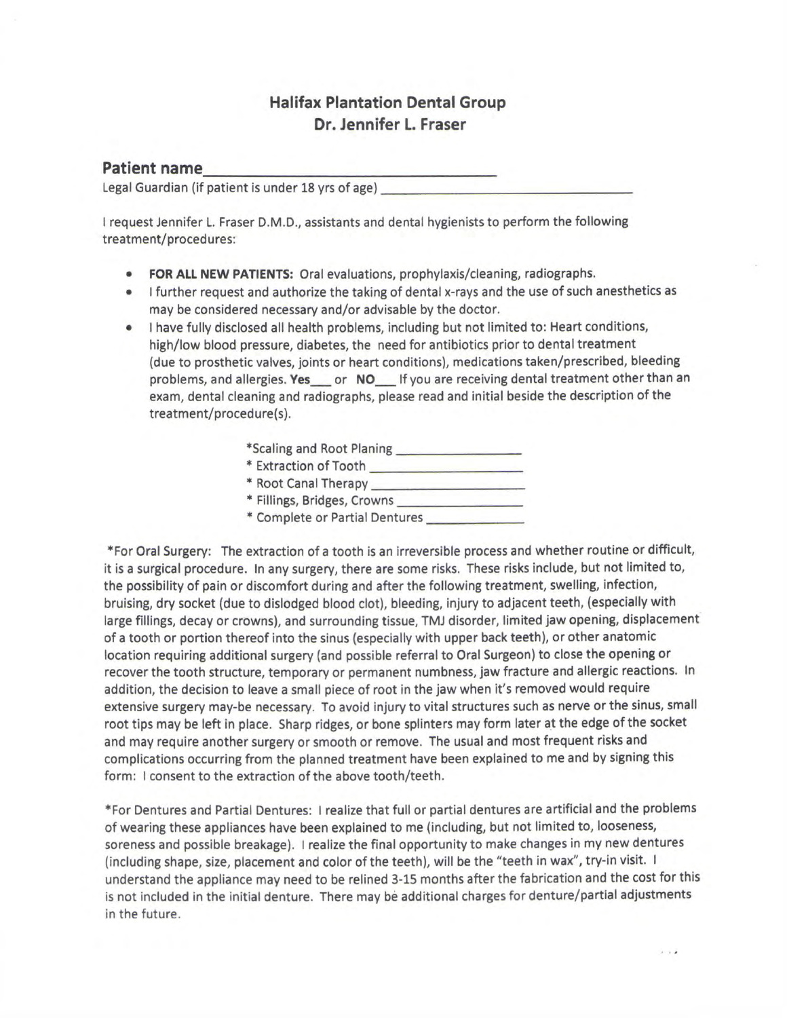# **Halifax Plantation Dental Group** Dr. Jennifer L. Fraser

## **Patient name**

Legal Guardian (if patient is under 18 yrs of age)

I request Jennifer L. Fraser D.M.D., assistants and dental hygienists to perform the following treatment/procedures:

- FOR ALL NEW PATIENTS: Oral evaluations, prophylaxis/cleaning, radiographs.
- I further request and authorize the taking of dental x-rays and the use of such anesthetics as may be considered necessary and/or advisable by the doctor.
- I have fully disclosed all health problems, including but not limited to: Heart conditions,  $\bullet$ high/low blood pressure, diabetes, the need for antibiotics prior to dental treatment (due to prosthetic valves, joints or heart conditions), medications taken/prescribed, bleeding problems, and allergies. Yes or NO If you are receiving dental treatment other than an exam, dental cleaning and radiographs, please read and initial beside the description of the treatment/procedure(s).

| *Scaling and Root Planing |  |
|---------------------------|--|
| * Extraction of Tooth     |  |

- 
- \* Fillings, Bridges, Crowns
- \* Complete or Partial Dentures

\*For Oral Surgery: The extraction of a tooth is an irreversible process and whether routine or difficult, it is a surgical procedure. In any surgery, there are some risks. These risks include, but not limited to, the possibility of pain or discomfort during and after the following treatment, swelling, infection, bruising, dry socket (due to dislodged blood clot), bleeding, injury to adjacent teeth, (especially with large fillings, decay or crowns), and surrounding tissue, TMJ disorder, limited jaw opening, displacement of a tooth or portion thereof into the sinus (especially with upper back teeth), or other anatomic location requiring additional surgery (and possible referral to Oral Surgeon) to close the opening or recover the tooth structure, temporary or permanent numbness, jaw fracture and allergic reactions. In addition, the decision to leave a small piece of root in the jaw when it's removed would require extensive surgery may-be necessary. To avoid injury to vital structures such as nerve or the sinus, small root tips may be left in place. Sharp ridges, or bone splinters may form later at the edge of the socket and may require another surgery or smooth or remove. The usual and most frequent risks and complications occurring from the planned treatment have been explained to me and by signing this form: I consent to the extraction of the above tooth/teeth.

\*For Dentures and Partial Dentures: I realize that full or partial dentures are artificial and the problems of wearing these appliances have been explained to me (including, but not limited to, looseness, soreness and possible breakage). I realize the final opportunity to make changes in my new dentures (including shape, size, placement and color of the teeth), will be the "teeth in wax", try-in visit. I understand the appliance may need to be relined 3-15 months after the fabrication and the cost for this is not included in the initial denture. There may be additional charges for denture/partial adjustments in the future.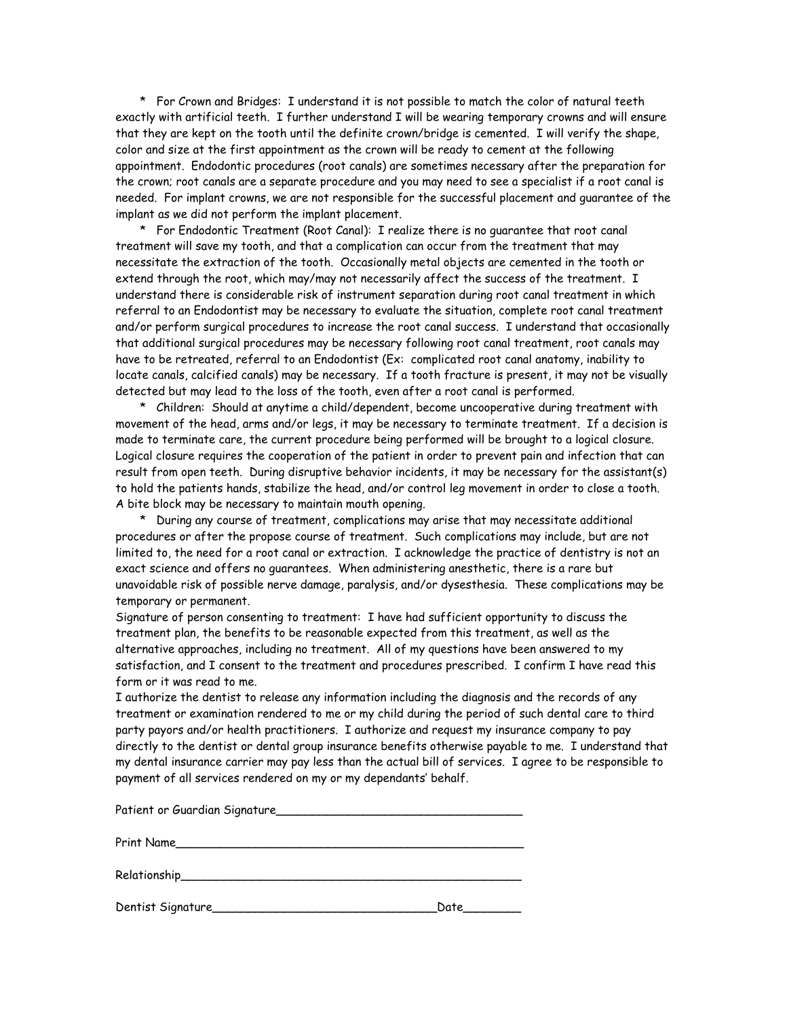\* For Crown and Bridges: I understand it is not possible to match the color of natural teeth exactly with artificial teeth. I further understand I will be wearing temporary crowns and will ensure that they are kept on the tooth until the definite crown/bridge is cemented. I will verify the shape, color and size at the first appointment as the crown will be ready to cement at the following appointment. Endodontic procedures (root canals) are sometimes necessary after the preparation for the crown; root canals are a separate procedure and you may need to see a specialist if a root canal is needed. For implant crowns, we are not responsible for the successful placement and guarantee of the implant as we did not perform the implant placement.

 \* For Endodontic Treatment (Root Canal): I realize there is no guarantee that root canal treatment will save my tooth, and that a complication can occur from the treatment that may necessitate the extraction of the tooth. Occasionally metal objects are cemented in the tooth or extend through the root, which may/may not necessarily affect the success of the treatment. I understand there is considerable risk of instrument separation during root canal treatment in which referral to an Endodontist may be necessary to evaluate the situation, complete root canal treatment and/or perform surgical procedures to increase the root canal success. I understand that occasionally that additional surgical procedures may be necessary following root canal treatment, root canals may have to be retreated, referral to an Endodontist (Ex: complicated root canal anatomy, inability to locate canals, calcified canals) may be necessary. If a tooth fracture is present, it may not be visually detected but may lead to the loss of the tooth, even after a root canal is performed.

 \* Children: Should at anytime a child/dependent, become uncooperative during treatment with movement of the head, arms and/or legs, it may be necessary to terminate treatment. If a decision is made to terminate care, the current procedure being performed will be brought to a logical closure. Logical closure requires the cooperation of the patient in order to prevent pain and infection that can result from open teeth. During disruptive behavior incidents, it may be necessary for the assistant(s) to hold the patients hands, stabilize the head, and/or control leg movement in order to close a tooth. A bite block may be necessary to maintain mouth opening.

 \* During any course of treatment, complications may arise that may necessitate additional procedures or after the propose course of treatment. Such complications may include, but are not limited to, the need for a root canal or extraction. I acknowledge the practice of dentistry is not an exact science and offers no guarantees. When administering anesthetic, there is a rare but unavoidable risk of possible nerve damage, paralysis, and/or dysesthesia. These complications may be temporary or permanent.

Signature of person consenting to treatment: I have had sufficient opportunity to discuss the treatment plan, the benefits to be reasonable expected from this treatment, as well as the alternative approaches, including no treatment. All of my questions have been answered to my satisfaction, and I consent to the treatment and procedures prescribed. I confirm I have read this form or it was read to me.

I authorize the dentist to release any information including the diagnosis and the records of any treatment or examination rendered to me or my child during the period of such dental care to third party payors and/or health practitioners. I authorize and request my insurance company to pay directly to the dentist or dental group insurance benefits otherwise payable to me. I understand that my dental insurance carrier may pay less than the actual bill of services. I agree to be responsible to payment of all services rendered on my or my dependants' behalf.

| Patient or Guardian Signature |      |
|-------------------------------|------|
| Print Name                    |      |
|                               |      |
|                               | Date |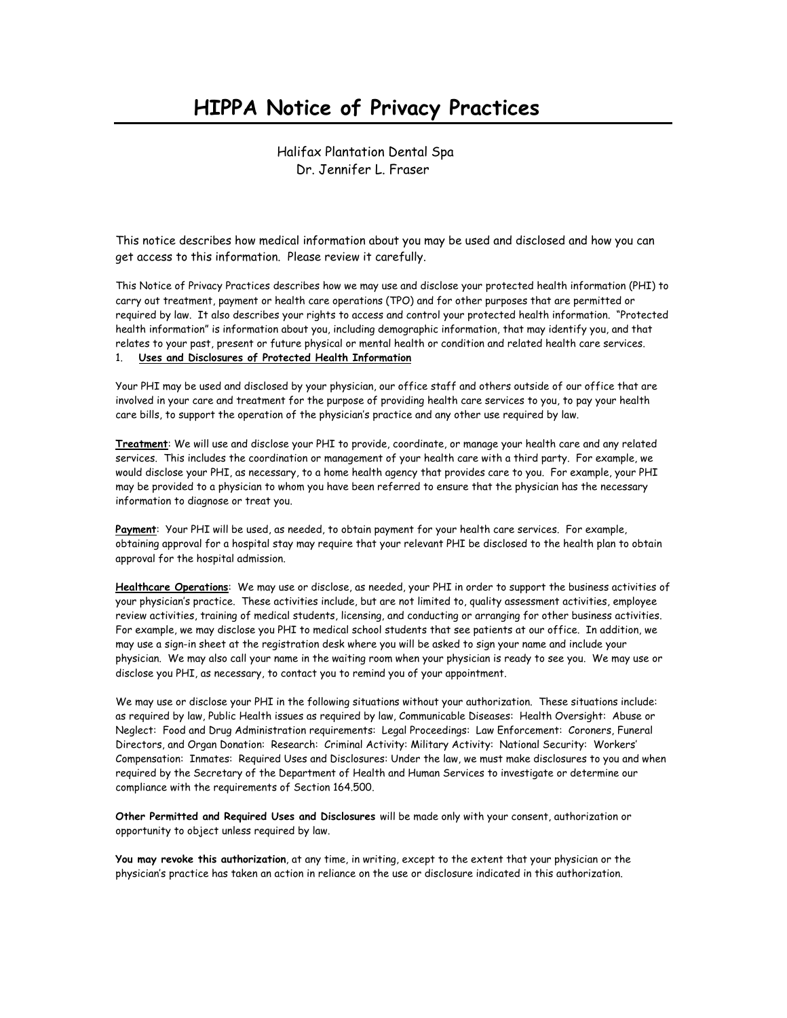# **HIPPA Notice of Privacy Practices**

 Halifax Plantation Dental Spa Dr. Jennifer L. Fraser

This notice describes how medical information about you may be used and disclosed and how you can get access to this information. Please review it carefully.

This Notice of Privacy Practices describes how we may use and disclose your protected health information (PHI) to carry out treatment, payment or health care operations (TPO) and for other purposes that are permitted or required by law. It also describes your rights to access and control your protected health information. "Protected health information" is information about you, including demographic information, that may identify you, and that relates to your past, present or future physical or mental health or condition and related health care services.

### 1. **Uses and Disclosures of Protected Health Information**

Your PHI may be used and disclosed by your physician, our office staff and others outside of our office that are involved in your care and treatment for the purpose of providing health care services to you, to pay your health care bills, to support the operation of the physician's practice and any other use required by law.

**Treatment**: We will use and disclose your PHI to provide, coordinate, or manage your health care and any related services. This includes the coordination or management of your health care with a third party. For example, we would disclose your PHI, as necessary, to a home health agency that provides care to you. For example, your PHI may be provided to a physician to whom you have been referred to ensure that the physician has the necessary information to diagnose or treat you.

**Payment**: Your PHI will be used, as needed, to obtain payment for your health care services. For example, obtaining approval for a hospital stay may require that your relevant PHI be disclosed to the health plan to obtain approval for the hospital admission.

**Healthcare Operations**: We may use or disclose, as needed, your PHI in order to support the business activities of your physician's practice. These activities include, but are not limited to, quality assessment activities, employee review activities, training of medical students, licensing, and conducting or arranging for other business activities. For example, we may disclose you PHI to medical school students that see patients at our office. In addition, we may use a sign-in sheet at the registration desk where you will be asked to sign your name and include your physician. We may also call your name in the waiting room when your physician is ready to see you. We may use or disclose you PHI, as necessary, to contact you to remind you of your appointment.

We may use or disclose your PHI in the following situations without your authorization. These situations include: as required by law, Public Health issues as required by law, Communicable Diseases: Health Oversight: Abuse or Neglect: Food and Drug Administration requirements: Legal Proceedings: Law Enforcement: Coroners, Funeral Directors, and Organ Donation: Research: Criminal Activity: Military Activity: National Security: Workers' Compensation: Inmates: Required Uses and Disclosures: Under the law, we must make disclosures to you and when required by the Secretary of the Department of Health and Human Services to investigate or determine our compliance with the requirements of Section 164.500.

**Other Permitted and Required Uses and Disclosures** will be made only with your consent, authorization or opportunity to object unless required by law.

**You may revoke this authorization**, at any time, in writing, except to the extent that your physician or the physician's practice has taken an action in reliance on the use or disclosure indicated in this authorization.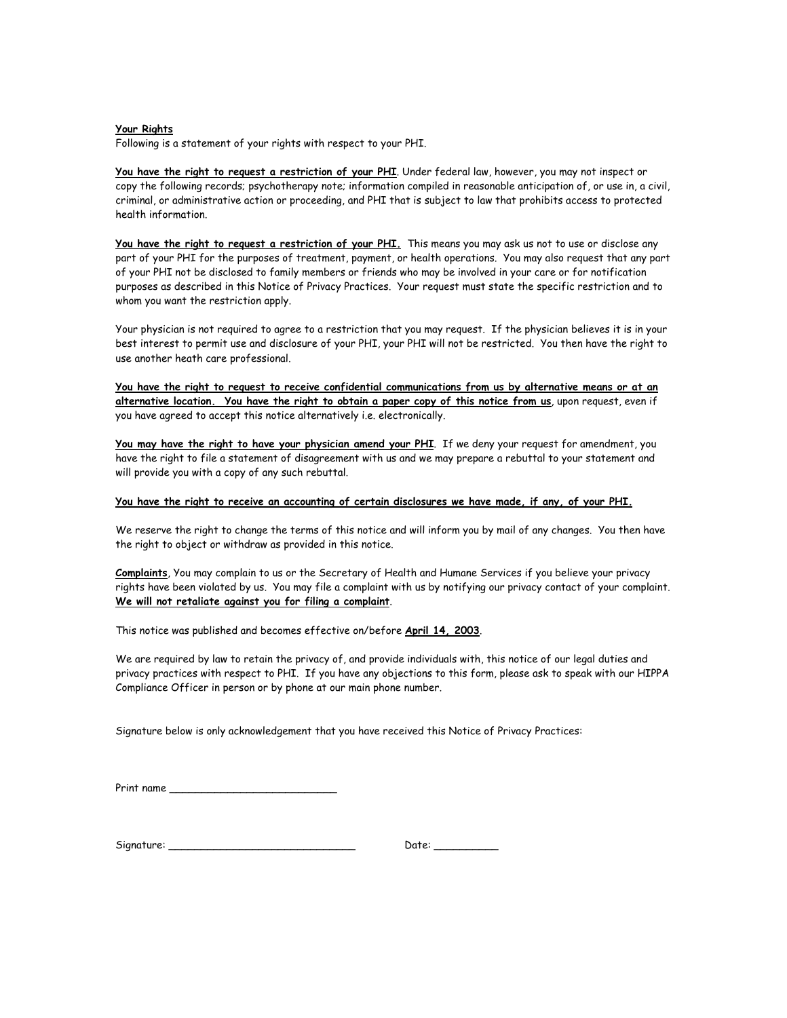#### **Your Rights**

Following is a statement of your rights with respect to your PHI.

**You have the right to request a restriction of your PHI**. Under federal law, however, you may not inspect or copy the following records; psychotherapy note; information compiled in reasonable anticipation of, or use in, a civil, criminal, or administrative action or proceeding, and PHI that is subject to law that prohibits access to protected health information.

**You have the right to request a restriction of your PHI.** This means you may ask us not to use or disclose any part of your PHI for the purposes of treatment, payment, or health operations. You may also request that any part of your PHI not be disclosed to family members or friends who may be involved in your care or for notification purposes as described in this Notice of Privacy Practices. Your request must state the specific restriction and to whom you want the restriction apply.

Your physician is not required to agree to a restriction that you may request. If the physician believes it is in your best interest to permit use and disclosure of your PHI, your PHI will not be restricted. You then have the right to use another heath care professional.

**You have the right to request to receive confidential communications from us by alternative means or at an alternative location. You have the right to obtain a paper copy of this notice from us**, upon request, even if you have agreed to accept this notice alternatively i.e. electronically.

**You may have the right to have your physician amend your PHI**. If we deny your request for amendment, you have the right to file a statement of disagreement with us and we may prepare a rebuttal to your statement and will provide you with a copy of any such rebuttal.

#### **You have the right to receive an accounting of certain disclosures we have made, if any, of your PHI.**

We reserve the right to change the terms of this notice and will inform you by mail of any changes. You then have the right to object or withdraw as provided in this notice.

**Complaints**, You may complain to us or the Secretary of Health and Humane Services if you believe your privacy rights have been violated by us. You may file a complaint with us by notifying our privacy contact of your complaint. **We will not retaliate against you for filing a complaint**.

This notice was published and becomes effective on/before **April 14, 2003**.

We are required by law to retain the privacy of, and provide individuals with, this notice of our legal duties and privacy practices with respect to PHI. If you have any objections to this form, please ask to speak with our HIPPA Compliance Officer in person or by phone at our main phone number.

Signature below is only acknowledgement that you have received this Notice of Privacy Practices:

Print name \_\_\_\_\_\_\_\_\_\_\_\_\_\_\_\_\_\_\_\_\_\_\_\_\_\_

| Signature: |  |
|------------|--|
|------------|--|

 $Date:$   $\begin{tabular}{|c|c|c|c|} \hline \end{tabular}$